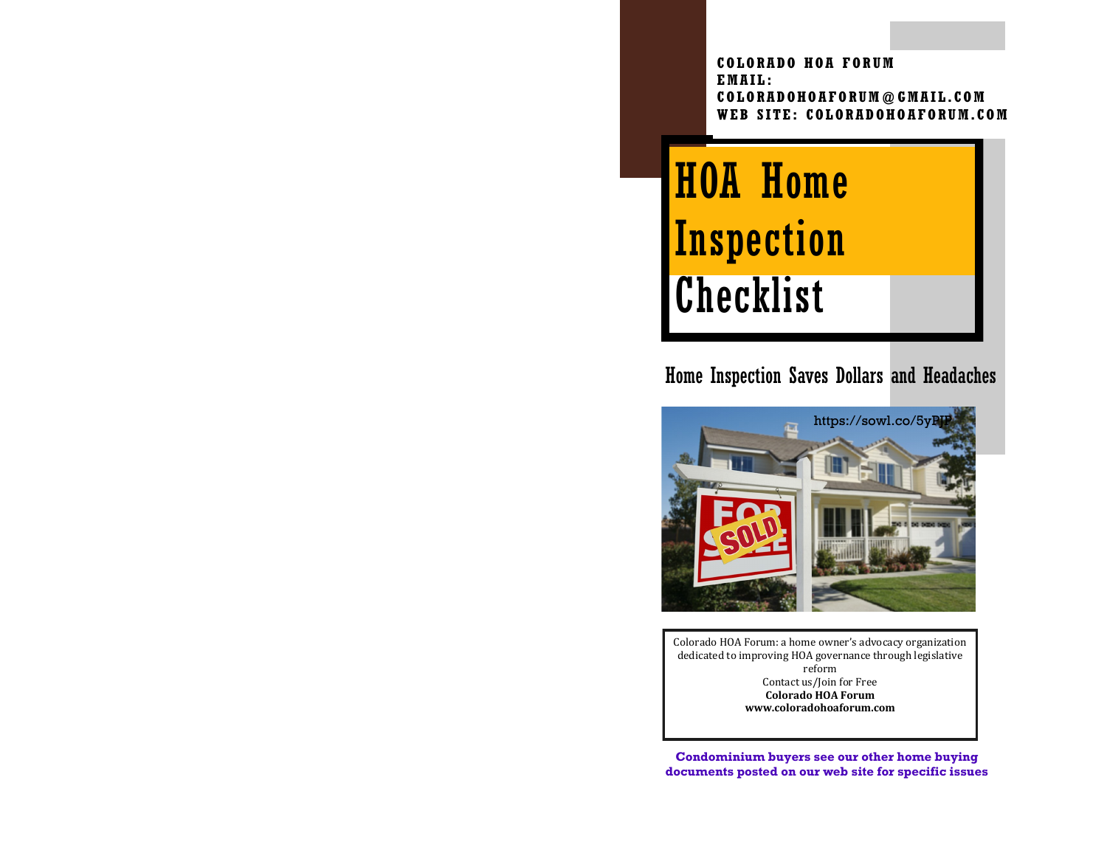**COLORADO HOA FORUM EMAIL: COLORADOHOAFORUM@GMAIL.COM WEB SITE: COLORADOHO AFORUM.COM**

HOA Home **Inspection Checklist** 

# Home Inspection Saves Dollars and Headaches



Colorado HOA Forum: a home owner's advocacy organization dedicated to improving HOA governance through legislative reform Contact us/Join for Free **Colorado HOA Forum www.coloradohoaforum.com**

**Condominium buyers see our other home buying documents posted on our web site for specific issues**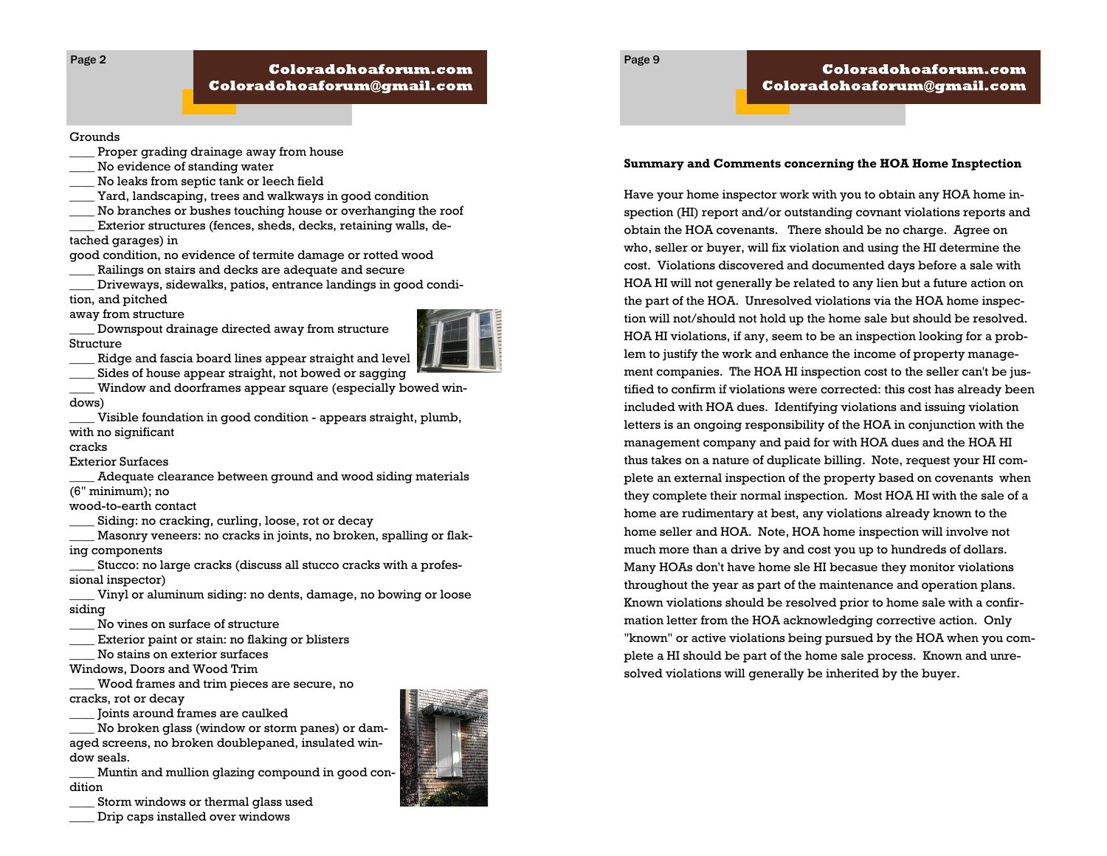Page 2

#### Grounds

- Proper grading drainage away from house
- No evidence of standing water
- \_\_\_\_ No leaks from septic tank or leech field
- Yard, landscaping, trees and walkways in good condition
- No branches or bushes touching house or overhanging the roof

Exterior structures (fences, sheds, decks, retaining walls, detached garages) in

good condition, no evidence of termite damage or rotted wood

Railings on stairs and decks are adequate and secure

\_\_\_\_ Driveways, sidewalks, patios, entrance landings in good condi-

tion, and pitched

away from structure

\_\_\_\_ Downspout drainage directed away from structure Structure



Ridge and fascia board lines appear straight and level

Sides of house appear straight, not bowed or sagging

Window and doorframes appear square (especially bowed windows)

Visible foundation in good condition - appears straight, plumb, with no significant

### cracks

Exterior Surfaces

Adequate clearance between ground and wood siding materials (6" minimum); no

wood-to-earth contact

Siding: no cracking, curling, loose, rot or decay

Masonry veneers: no cracks in joints, no broken, spalling or flaking components

Stucco: no large cracks (discuss all stucco cracks with a professional inspector)

Vinyl or aluminum siding: no dents, damage, no bowing or loose siding

No vines on surface of structure

- Exterior paint or stain: no flaking or blisters
- No stains on exterior surfaces
- Windows, Doors and Wood Trim

\_\_\_\_ Wood frames and trim pieces are secure, no cracks, rot or decay

\_\_\_\_ Joints around frames are caulked

No broken glass (window or storm panes) or damaged screens, no broken doublepaned, insulated window seals.

Muntin and mullion glazing compound in good condition

Storm windows or thermal glass used

\_\_\_\_ Drip caps installed over windows



### **Summary and Comments concerning the HOA Home Insptection**

Coloradohoaforum.com

Coloradohoaforum@gmail.com

Page 9

Have your home inspector work with you to obtain any HOA home inspection (HI) report and/or outstanding covnant violations reports and obtain the HOA covenants. There should be no charge. Agree on who, seller or buyer, will fix violation and using the HI determine the cost. Violations discovered and documented days before a sale with HOA HI will not generally be related to any lien but a future action on the part of the HOA. Unresolved violations via the HOA home inspection will not/should not hold up the home sale but should be resolved. HOA HI violations, if any, seem to be an inspection looking for a problem to justify the work and enhance the income of property management companies. The HOA HI inspection cost to the seller can't be justified to confirm if violations were corrected: this cost has already been included with HOA dues. Identifying violations and issuing violation letters is an ongoing responsibility of the HOA in conjunction with the management company and paid for with HOA dues and the HOA HI thus takes on a nature of duplicate billing. Note, request your HI complete an external inspection of the property based on covenants when they complete their normal inspection. Most HOA HI with the sale of a home are rudimentary at best, any violations already known to the home seller and HOA. Note, HOA home inspection will involve not much more than a drive by and cost you up to hundreds of dollars. Many HOAs don't have home sle HI becasue they monitor violations throughout the year as part of the maintenance and operation plans. Known violations should be resolved prior to home sale with a confirmation letter from the HOA acknowledging corrective action. Only "known" or active violations being pursued by the HOA when you complete a HI should be part of the home sale process. Known and unresolved violations will generally be inherited by the buyer.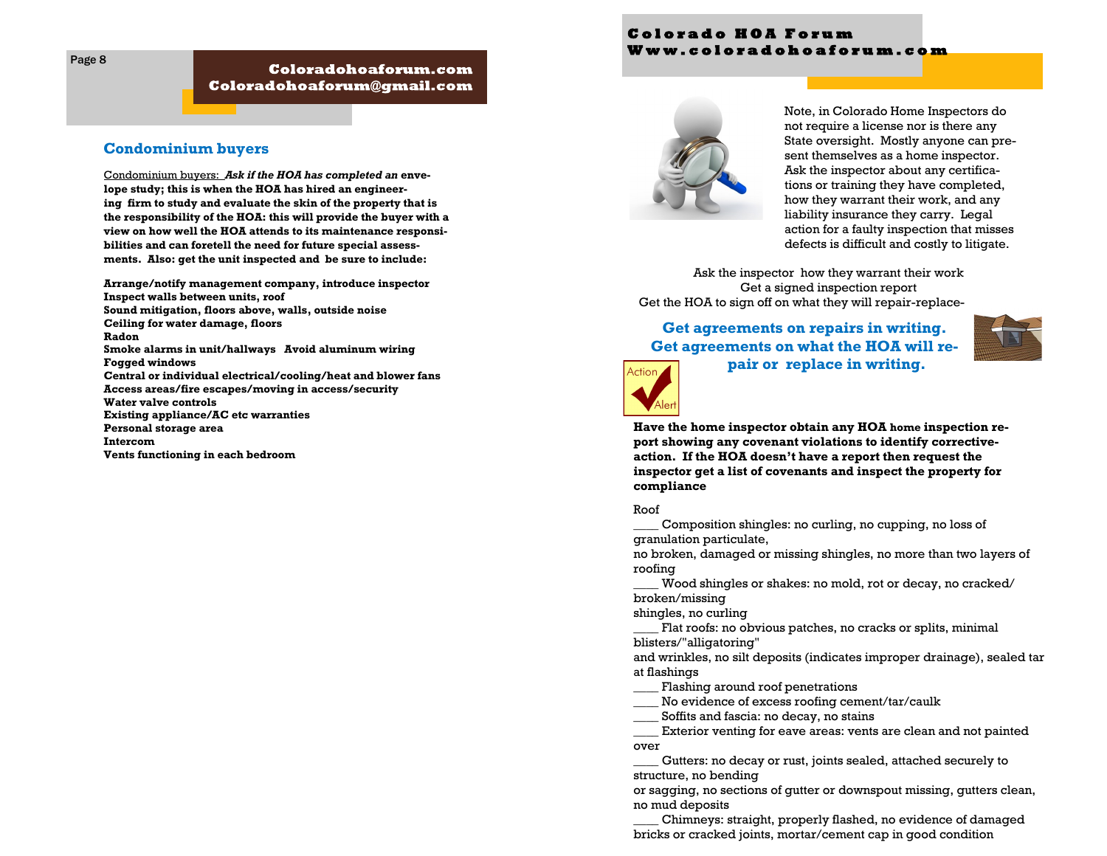## Coloradohoaforum.com  ${\bf Coloradohoa formula}$

# **Condominium buyers**

Condominium buyers: *Ask if the HOA has completed an* **envelope study; this is when the HOA has hired an engineering firm to study and evaluate the skin of the property that is the responsibility of the HOA: this will provide the buyer with a view on how well the HOA attends to its maintenance responsibilities and can foretell the need for future special assessments. Also: get the unit inspected and be sure to include:**

**Arrange/notify management company, introduce inspector Inspect walls between units, roof Sound mitigation, floors above, walls, outside noise Ceiling for water damage, floors Radon Smoke alarms in unit/hallways Avoid aluminum wiring Fogged windows Central or individual electrical/cooling/heat and blower fans Access areas/fire escapes/moving in access/security Water valve controls Existing appliance/AC etc warranties Personal storage area Intercom Vents functioning in each bedroom**

# **C o l o r a d o H O A F o r u m W w w . c o l o r a d o h o a f o r u m . c o m**



Note, in Colorado Home Inspectors do not require a license nor is there any State oversight. Mostly anyone can present themselves as a home inspector. Ask the inspector about any certifications or training they have completed, how they warrant their work, and any liability insurance they carry. Legal action for a faulty inspection that misses defects is difficult and costly to litigate.

Ask the inspector how they warrant their work Get a signed inspection report Get the HOA to sign off on what they will repair-replace-

# **Get agreements on repairs in writing. Get agreements on what the HOA will re-**Action



**pair or replace in writing.** 

**Have the home inspector obtain any HOA home inspection report showing any covenant violations to identify correctiveaction. If the HOA doesn't have a report then request the inspector get a list of covenants and inspect the property for compliance**

#### Roof

\_\_\_\_ Composition shingles: no curling, no cupping, no loss of granulation particulate,

no broken, damaged or missing shingles, no more than two layers of roofing

Wood shingles or shakes: no mold, rot or decay, no cracked/ broken/missing

shingles, no curling

Flat roofs: no obvious patches, no cracks or splits, minimal blisters/"alligatoring"

and wrinkles, no silt deposits (indicates improper drainage), sealed tar at flashings

Flashing around roof penetrations

No evidence of excess roofing cement/tar/caulk

Soffits and fascia: no decay, no stains

Exterior venting for eave areas: vents are clean and not painted over

Gutters: no decay or rust, joints sealed, attached securely to structure, no bending

or sagging, no sections of gutter or downspout missing, gutters clean, no mud deposits

\_\_\_\_ Chimneys: straight, properly flashed, no evidence of damaged bricks or cracked joints, mortar/cement cap in good condition

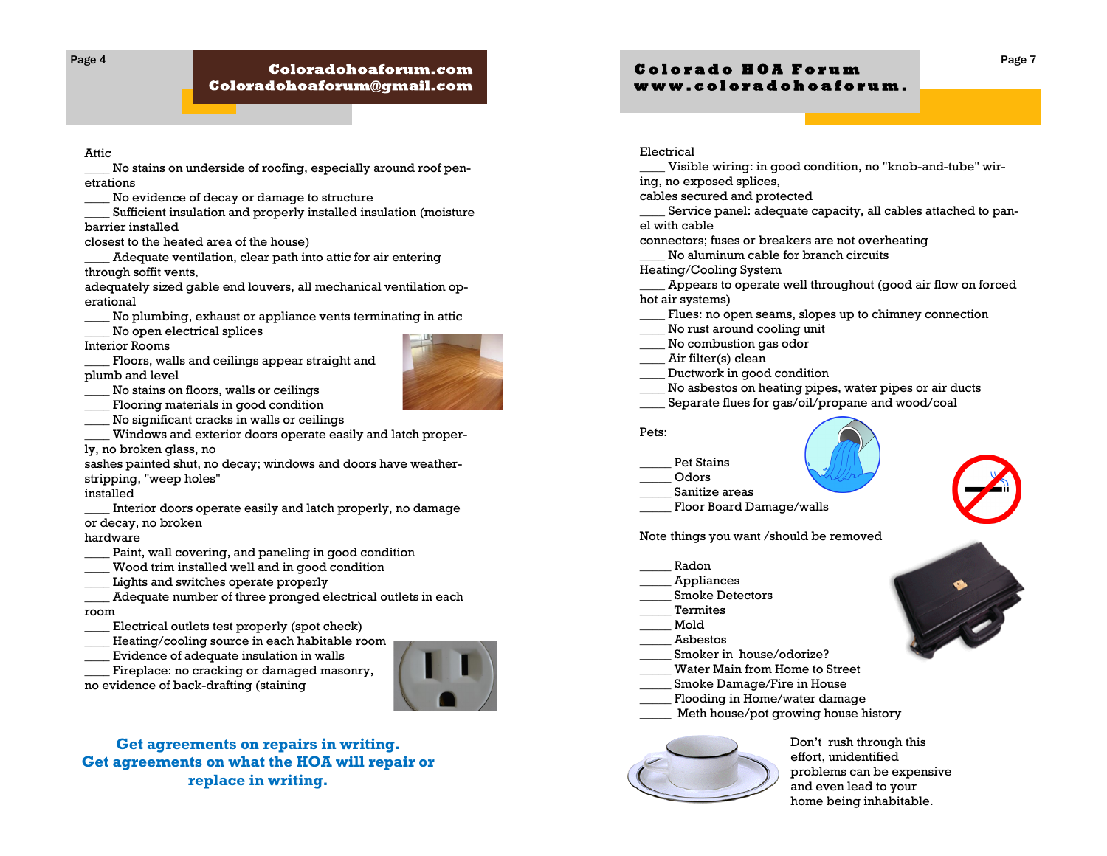Page 4

# Coloradohoaforum.com  ${\bf Coloradohoa formula}$

Attic

\_\_\_\_ No stains on underside of roofing, especially around roof penetrations

\_\_\_\_ No evidence of decay or damage to structure

Sufficient insulation and properly installed insulation (moisture barrier installed

closest to the heated area of the house)

Adequate ventilation, clear path into attic for air entering through soffit vents,

adequately sized gable end louvers, all mechanical ventilation operational

\_\_\_\_ No plumbing, exhaust or appliance vents terminating in attic

No open electrical splices

Interior Rooms

\_\_\_\_ Floors, walls and ceilings appear straight and plumb and level

\_\_\_\_ No stains on floors, walls or ceilings

\_\_\_\_ Flooring materials in good condition

\_\_\_\_ No significant cracks in walls or ceilings

Windows and exterior doors operate easily and latch proper-

ly, no broken glass, no

sashes painted shut, no decay; windows and doors have weatherstripping, "weep holes"

installed

Interior doors operate easily and latch properly, no damage or decay, no broken

hardware

- Paint, wall covering, and paneling in good condition
- Wood trim installed well and in good condition

\_\_\_\_ Lights and switches operate properly

Adequate number of three pronged electrical outlets in each room

Electrical outlets test properly (spot check)

Heating/cooling source in each habitable room

Evidence of adequate insulation in walls

Fireplace: no cracking or damaged masonry,

no evidence of back-drafting (staining



**Get agreements on repairs in writing. Get agreements on what the HOA will repair or replace in writing.** 

# **C o l o r a d o H O A F o r u m w w w . c o l o r a d o h o a f o r u m .**

Electrical

Visible wiring: in good condition, no "knob-and-tube" wiring, no exposed splices,

cables secured and protected

Service panel: adequate capacity, all cables attached to panel with cable

connectors; fuses or breakers are not overheating

\_\_\_\_ No aluminum cable for branch circuits

Heating/Cooling System

Appears to operate well throughout (good air flow on forced hot air systems)

- Flues: no open seams, slopes up to chimney connection
- No rust around cooling unit
- \_\_\_\_ No combustion gas odor
- \_\_\_\_ Air filter(s) clean
- Ductwork in good condition
- \_\_\_\_ No asbestos on heating pipes, water pipes or air ducts
- Separate flues for gas/oil/propane and wood/coal

## Pets:

# Pet Stains

- \_\_\_\_\_ Odors
- Sanitize areas
- Floor Board Damage/walls

Note things you want /should be removed

- \_\_\_\_\_ Radon
- \_\_\_\_\_ Appliances
- \_\_\_\_\_ Smoke Detectors
- \_\_\_\_\_ Termites
- \_\_\_\_\_ Mold
- \_\_\_\_\_ Asbestos
- Smoker in house/odorize?
- Water Main from Home to Street
- \_\_\_\_\_ Smoke Damage/Fire in House
- Flooding in Home/water damage
	- Meth house/pot growing house history



Don't rush through this effort, unidentified problems can be expensive and even lead to your home being inhabitable.